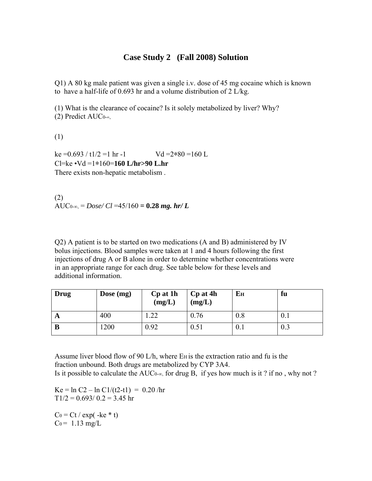## **Case Study 2 (Fall 2008) Solution**

Q1) A 80 kg male patient was given a single i.v. dose of 45 mg cocaine which is known to have a half-life of 0.693 hr and a volume distribution of  $2 \text{ L/kg}$ .

(1) What is the clearance of cocaine? Is it solely metabolized by liver? Why? (2) Predict AUC0-∞,

(1)

 $ke = 0.693 / t1/2 = 1 hr - 1$  Vd =2\*80 =160 L Cl=ke •Vd =1∗160=**160 L/hr>90 L.hr** There exists non-hepatic metabolism .

(2)  $AUC_{0-\infty} = Dose/Cl = 45/160 = 0.28$  *mg. hr/L* 

Q2) A patient is to be started on two medications (A and B) administered by IV bolus injections. Blood samples were taken at 1 and 4 hours following the first injections of drug A or B alone in order to determine whether concentrations were in an appropriate range for each drug. See table below for these levels and additional information.

| Drug | Dose $(mg)$ | Cp at 1h<br>(mg/L) | Cp at 4h<br>(mg/L) | Eн  | fu  |
|------|-------------|--------------------|--------------------|-----|-----|
| A    | 400         | .22                | 0.76               | 0.8 | 0.1 |
| B    | .200        | 0.92               | 0.51               | 0.1 | 0.3 |

Assume liver blood flow of 90 L/h, where E<sub>H</sub> is the extraction ratio and fu is the fraction unbound. Both drugs are metabolized by CYP 3A4. Is it possible to calculate the AUC<sub>0-∞</sub>, for drug B, if yes how much is it ? if no, why not ?

Ke =  $\ln C2 - \ln C1/(t2-t1) = 0.20$ /hr  $T1/2 = 0.693/0.2 = 3.45$  hr

 $Co = Ct / exp(-ke * t)$  $Co = 1.13$  mg/L